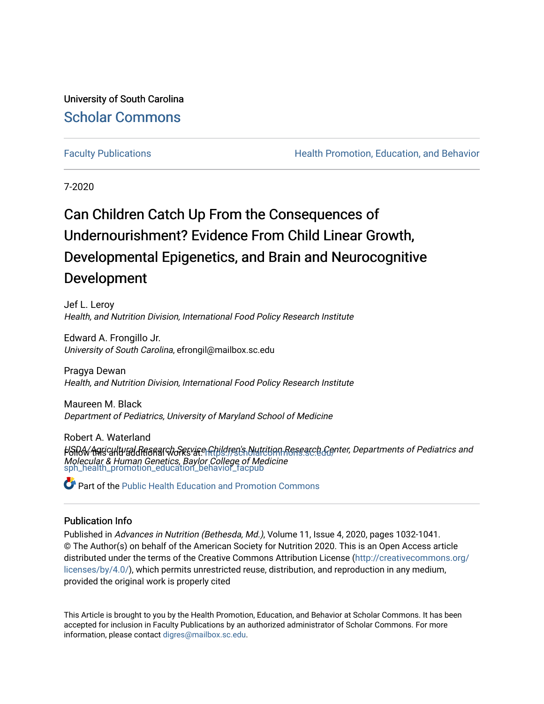University of South Carolina [Scholar Commons](https://scholarcommons.sc.edu/) 

[Faculty Publications](https://scholarcommons.sc.edu/sph_health_promotion_education_behavior_facpub) **Health Promotion, Education, and Behavior Health Promotion, Education, and Behavior** 

7-2020

# Can Children Catch Up From the Consequences of Undernourishment? Evidence From Child Linear Growth, Developmental Epigenetics, and Brain and Neurocognitive Development

Jef L. Leroy Health, and Nutrition Division, International Food Policy Research Institute

Edward A. Frongillo Jr. University of South Carolina, efrongil@mailbox.sc.edu

Pragya Dewan Health, and Nutrition Division, International Food Policy Research Institute

Maureen M. Black Department of Pediatrics, University of Maryland School of Medicine

Robert A. Waterland HSiBA/Agricultural Research Service Children's Nutrition Research Center, Departments of Pediatrics and Molecular & Human Genetics, Baylor College of Medicine<br>[sph\\_health\\_promotion\\_education\\_behavior\\_facpub](https://scholarcommons.sc.edu/sph_health_promotion_education_behavior_facpub?utm_source=scholarcommons.sc.edu%2Fsph_health_promotion_education_behavior_facpub%2F305&utm_medium=PDF&utm_campaign=PDFCoverPages)

Part of the [Public Health Education and Promotion Commons](http://network.bepress.com/hgg/discipline/743?utm_source=scholarcommons.sc.edu%2Fsph_health_promotion_education_behavior_facpub%2F305&utm_medium=PDF&utm_campaign=PDFCoverPages) 

# Publication Info

Published in Advances in Nutrition (Bethesda, Md.), Volume 11, Issue 4, 2020, pages 1032-1041. © The Author(s) on behalf of the American Society for Nutrition 2020. This is an Open Access article distributed under the terms of the Creative Commons Attribution License ([http://creativecommons.org/](http://creativecommons.org/licenses/by/4.0/) [licenses/by/4.0/](http://creativecommons.org/licenses/by/4.0/)), which permits unrestricted reuse, distribution, and reproduction in any medium, provided the original work is properly cited

This Article is brought to you by the Health Promotion, Education, and Behavior at Scholar Commons. It has been accepted for inclusion in Faculty Publications by an authorized administrator of Scholar Commons. For more information, please contact [digres@mailbox.sc.edu.](mailto:digres@mailbox.sc.edu)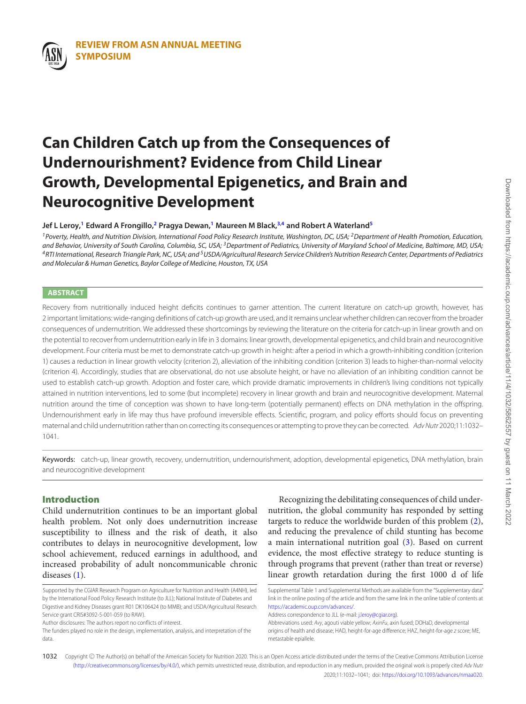# **Can Children Catch up from the Consequences of Undernourishment? Evidence from Child Linear Growth, Developmental Epigenetics, and Brain and Neurocognitive Development**

**Jef L Leroy[,1](#page-1-0) Edward A Frongillo[,2](#page-1-1) Pragya Dewan,[1](#page-1-0) Maureen M Black,[3,](#page-1-2)[4](#page-1-3) and Robert A Waterland[5](#page-1-4)**

<span id="page-1-3"></span><span id="page-1-2"></span><span id="page-1-0"></span><sup>1</sup> Poverty, Health, and Nutrition Division, International Food Policy Research Institute, Washington, DC, USA; <sup>2</sup> Department of Health Promotion, Education, and Behavior, University of South Carolina, Columbia, SC, USA;<sup>3</sup>Department of Pediatrics, University of Maryland School of Medicine, Baltimore, MD, USA; 4RTI International, Research Triangle Park, NC, USA; and <sup>5</sup>USDA/Agricultural Research Service Children's Nutrition Research Center, Departments of Pediatrics and Molecular & Human Genetics, Baylor College of Medicine, Houston, TX, USA

# <span id="page-1-4"></span>**ABSTRACT**

Recovery from nutritionally induced height deficits continues to garner attention. The current literature on catch-up growth, however, has 2 important limitations: wide-ranging definitions of catch-up growth are used, and it remains unclear whether children can recover from the broader consequences of undernutrition. We addressed these shortcomings by reviewing the literature on the criteria for catch-up in linear growth and on the potential to recover from undernutrition early in life in 3 domains: linear growth, developmental epigenetics, and child brain and neurocognitive development. Four criteria must be met to demonstrate catch-up growth in height: after a period in which a growth-inhibiting condition (criterion 1) causes a reduction in linear growth velocity (criterion 2), alleviation of the inhibiting condition (criterion 3) leads to higher-than-normal velocity (criterion 4). Accordingly, studies that are observational, do not use absolute height, or have no alleviation of an inhibiting condition cannot be used to establish catch-up growth. Adoption and foster care, which provide dramatic improvements in children's living conditions not typically attained in nutrition interventions, led to some (but incomplete) recovery in linear growth and brain and neurocognitive development. Maternal nutrition around the time of conception was shown to have long-term (potentially permanent) effects on DNA methylation in the offspring. Undernourishment early in life may thus have profound irreversible effects. Scientific, program, and policy efforts should focus on preventing maternal and child undernutrition rather than on correcting its consequences or attempting to prove they can be corrected. AdvNutr 2020;11:1032-1041.

Keywords: catch-up, linear growth, recovery, undernutrition, undernourishment, adoption, developmental epigenetics, DNA methylation, brain and neurocognitive development

# **Introduction**

Child undernutrition continues to be an important global health problem. Not only does undernutrition increase susceptibility to illness and the risk of death, it also contributes to delays in neurocognitive development, low school achievement, reduced earnings in adulthood, and increased probability of adult noncommunicable chronic diseases [\(1\)](#page-8-0).

<span id="page-1-1"></span>Recognizing the debilitating consequences of child undernutrition, the global community has responded by setting targets to reduce the worldwide burden of this problem [\(2\)](#page-8-1), and reducing the prevalence of child stunting has become a main international nutrition goal [\(3\)](#page-8-2). Based on current evidence, the most effective strategy to reduce stunting is through programs that prevent (rather than treat or reverse) linear growth retardation during the first 1000 d of life

Supported by the CGIAR Research Program on Agriculture for Nutrition and Health (A4NH), led by the International Food Policy Research Institute (to JLL); National Institute of Diabetes and Digestive and Kidney Diseases grant R01 DK106424 (to MMB); and USDA/Agricultural Research Service grant CRIS#3092-5-001-059 (to RAW).

Author disclosures: The authors report no conflicts of interest.

The funders played no role in the design, implementation, analysis, and interpretation of the data.

Supplemental Table 1 and Supplemental Methods are available from the "Supplementary data" link in the online posting of the article and from the same link in the online table of contents at [https://academic.oup.com/advances/.](https://academic.oup.com/advances/)

Address correspondence to JLL (e-mail: [j.leroy@cgiar.org\)](mailto:j.leroy@cgiar.org).

Abbreviations used: Avy, agouti viable yellow; AxinFu, axin fused; DOHaD, developmental origins of health and disease; HAD, height-for-age difference; HAZ, height-for-age z score; ME, metastable epiallele.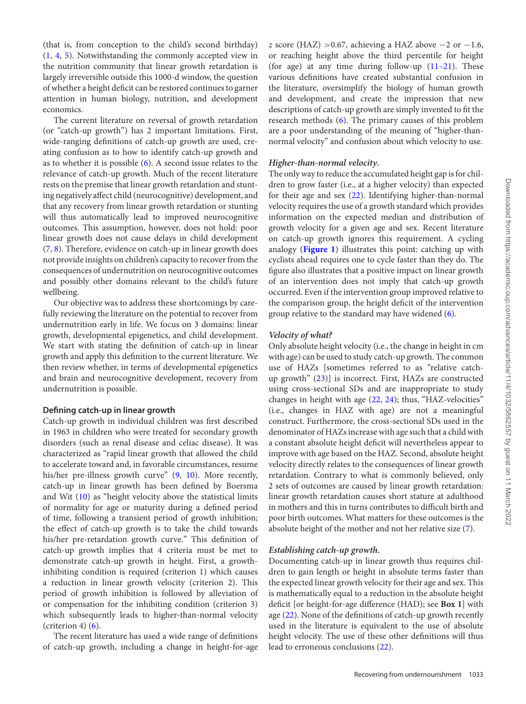(that is, from conception to the child's second birthday) [\(1,](#page-8-0) [4,](#page-8-3) [5\)](#page-8-4). Notwithstanding the commonly accepted view in the nutrition community that linear growth retardation is largely irreversible outside this 1000-d window, the question of whether a height deficit can be restored continues to garner attention in human biology, nutrition, and development economics.

The current literature on reversal of growth retardation (or "catch-up growth") has 2 important limitations. First, wide-ranging definitions of catch-up growth are used, creating confusion as to how to identify catch-up growth and as to whether it is possible [\(6\)](#page-8-5). A second issue relates to the relevance of catch-up growth. Much of the recent literature rests on the premise that linear growth retardation and stunting negatively affect child (neurocognitive) development, and that any recovery from linear growth retardation or stunting will thus automatically lead to improved neurocognitive outcomes. This assumption, however, does not hold: poor linear growth does not cause delays in child development [\(7,](#page-8-6) [8\)](#page-8-7). Therefore, evidence on catch-up in linear growth does not provide insights on children's capacity to recover from the consequences of undernutrition on neurocognitive outcomes and possibly other domains relevant to the child's future wellbeing.

Our objective was to address these shortcomings by carefully reviewing the literature on the potential to recover from undernutrition early in life. We focus on 3 domains: linear growth, developmental epigenetics, and child development. We start with stating the definition of catch-up in linear growth and apply this definition to the current literature. We then review whether, in terms of developmental epigenetics and brain and neurocognitive development, recovery from undernutrition is possible.

#### **Defining catch-up in linear growth**

Catch-up growth in individual children was first described in 1963 in children who were treated for secondary growth disorders (such as renal disease and celiac disease). It was characterized as "rapid linear growth that allowed the child to accelerate toward and, in favorable circumstances, resume his/her pre-illness growth curve" [\(9,](#page-9-0) [10\)](#page-9-1). More recently, catch-up in linear growth has been defined by Boersma and Wit [\(10\)](#page-9-1) as "height velocity above the statistical limits of normality for age or maturity during a defined period of time, following a transient period of growth inhibition; the effect of catch-up growth is to take the child towards his/her pre-retardation growth curve." This definition of catch-up growth implies that 4 criteria must be met to demonstrate catch-up growth in height. First, a growthinhibiting condition is required (criterion 1) which causes a reduction in linear growth velocity (criterion 2). This period of growth inhibition is followed by alleviation of or compensation for the inhibiting condition (criterion 3) which subsequently leads to higher-than-normal velocity (criterion 4)  $(6)$ .

The recent literature has used a wide range of definitions of catch-up growth, including a change in height-for-age

*z* score (HAZ) > 0.67, achieving a HAZ above  $-2$  or  $-1.6$ , or reaching height above the third percentile for height (for age) at any time during follow-up  $(11-21)$ . These various definitions have created substantial confusion in the literature, oversimplify the biology of human growth and development, and create the impression that new descriptions of catch-up growth are simply invented to fit the research methods [\(6\)](#page-8-5). The primary causes of this problem are a poor understanding of the meaning of "higher-thannormal velocity" and confusion about which velocity to use.

### *Higher-than-normal velocity.*

The only way to reduce the accumulated height gap is for children to grow faster (i.e., at a higher velocity) than expected for their age and sex [\(22\)](#page-9-3). Identifying higher-than-normal velocity requires the use of a growth standard which provides information on the expected median and distribution of growth velocity for a given age and sex. Recent literature on catch-up growth ignores this requirement. A cycling analogy (**[Figure 1](#page-3-0)**) illustrates this point: catching up with cyclists ahead requires one to cycle faster than they do. The figure also illustrates that a positive impact on linear growth of an intervention does not imply that catch-up growth occurred. Even if the intervention group improved relative to the comparison group, the height deficit of the intervention group relative to the standard may have widened [\(6\)](#page-8-5).

#### *Velocity of what?*

Only absolute height velocity (i.e., the change in height in cm with age) can be used to study catch-up growth. The common use of HAZs [sometimes referred to as "relative catchup growth" [\(23\)](#page-9-4)] is incorrect. First, HAZs are constructed using cross-sectional SDs and are inappropriate to study changes in height with age [\(22,](#page-9-3) [24\)](#page-9-5); thus, "HAZ-velocities" (i.e., changes in HAZ with age) are not a meaningful construct. Furthermore, the cross-sectional SDs used in the denominator of HAZs increase with age such that a child with a constant absolute height deficit will nevertheless appear to improve with age based on the HAZ. Second, absolute height velocity directly relates to the consequences of linear growth retardation. Contrary to what is commonly believed, only 2 sets of outcomes are caused by linear growth retardation: linear growth retardation causes short stature at adulthood in mothers and this in turns contributes to difficult birth and poor birth outcomes. What matters for these outcomes is the absolute height of the mother and not her relative size [\(7\)](#page-8-6).

### *Establishing catch-up growth.*

Documenting catch-up in linear growth thus requires children to gain length or height in absolute terms faster than the expected linear growth velocity for their age and sex. This is mathematically equal to a reduction in the absolute height deficit [or height-for-age difference (HAD); see **Box 1**] with age [\(22\)](#page-9-3). None of the definitions of catch-up growth recently used in the literature is equivalent to the use of absolute height velocity. The use of these other definitions will thus lead to erroneous conclusions [\(22\)](#page-9-3).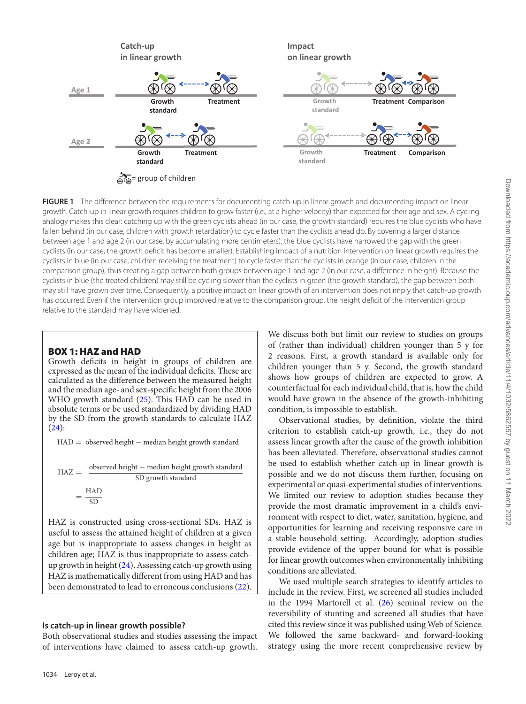<span id="page-3-0"></span>

**FIGURE 1** The difference between the requirements for documenting catch-up in linear growth and documenting impact on linear growth. Catch-up in linear growth requires children to grow faster (i.e., at a higher velocity) than expected for their age and sex. A cycling analogy makes this clear: catching up with the green cyclists ahead (in our case, the growth standard) requires the blue cyclists who have fallen behind (in our case, children with growth retardation) to cycle faster than the cyclists ahead do. By covering a larger distance between age 1 and age 2 (in our case, by accumulating more centimeters), the blue cyclists have narrowed the gap with the green cyclists (in our case, the growth deficit has become smaller). Establishing impact of a nutrition intervention on linear growth requires the cyclists in blue (in our case, children receiving the treatment) to cycle faster than the cyclists in orange (in our case, children in the comparison group), thus creating a gap between both groups between age 1 and age 2 (in our case, a difference in height). Because the cyclists in blue (the treated children) may still be cycling slower than the cyclists in green (the growth standard), the gap between both may still have grown over time. Consequently, a positive impact on linear growth of an intervention does not imply that catch-up growth has occurred. Even if the intervention group improved relative to the comparison group, the height deficit of the intervention group relative to the standard may have widened.

# **BOX 1: HAZ and HAD**

Growth deficits in height in groups of children are expressed as the mean of the individual deficits. These are calculated as the difference between the measured height and the median age- and sex-specific height from the 2006 WHO growth standard [\(25\)](#page-9-6). This HAD can be used in absolute terms or be used standardized by dividing HAD by the SD from the growth standards to calculate HAZ  $(24)$ :

HAD = observed height – median height growth standard

$$
HAZ = \frac{\text{observed height} - \text{median height growth standard}}{\text{SD growth standard}}
$$

$$
= \frac{\text{HAD}}{\text{SD}}
$$

HAZ is constructed using cross-sectional SDs. HAZ is useful to assess the attained height of children at a given age but is inappropriate to assess changes in height as children age; HAZ is thus inappropriate to assess catchup growth in height [\(24\)](#page-9-5). Assessing catch-up growth using HAZ is mathematically different from using HAD and has been demonstrated to lead to erroneous conclusions [\(22\)](#page-9-3).

# **Is catch-up in linear growth possible?**

Both observational studies and studies assessing the impact of interventions have claimed to assess catch-up growth.

We discuss both but limit our review to studies on groups of (rather than individual) children younger than 5 y for 2 reasons. First, a growth standard is available only for children younger than 5 y. Second, the growth standard shows how groups of children are expected to grow. A counterfactual for each individual child, that is, how the child would have grown in the absence of the growth-inhibiting condition, is impossible to establish.

Observational studies, by definition, violate the third criterion to establish catch-up growth, i.e., they do not assess linear growth after the cause of the growth inhibition has been alleviated. Therefore, observational studies cannot be used to establish whether catch-up in linear growth is possible and we do not discuss them further, focusing on experimental or quasi-experimental studies of interventions. We limited our review to adoption studies because they provide the most dramatic improvement in a child's environment with respect to diet, water, sanitation, hygiene, and opportunities for learning and receiving responsive care in a stable household setting. Accordingly, adoption studies provide evidence of the upper bound for what is possible for linear growth outcomes when environmentally inhibiting conditions are alleviated.

We used multiple search strategies to identify articles to include in the review. First, we screened all studies included in the 1994 Martorell et al. [\(26\)](#page-9-7) seminal review on the reversibility of stunting and screened all studies that have cited this review since it was published using Web of Science. We followed the same backward- and forward-looking strategy using the more recent comprehensive review by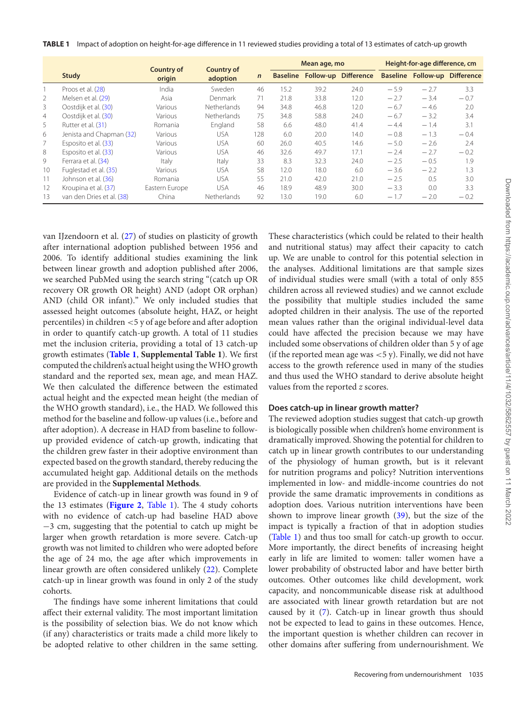<span id="page-4-0"></span>**TABLE 1** Impact of adoption on height-for-age difference in 11 reviewed studies providing a total of 13 estimates of catch-up growth

|    |                           | Country of<br>origin | <b>Country of</b><br>adoption |             | Mean age, mo |      |                               | Height-for-age difference, cm |                                      |        |
|----|---------------------------|----------------------|-------------------------------|-------------|--------------|------|-------------------------------|-------------------------------|--------------------------------------|--------|
|    | Study                     |                      |                               | $\mathbf n$ |              |      | Baseline Follow-up Difference |                               | <b>Baseline Follow-up Difference</b> |        |
|    | Proos et al. (28)         | India                | Sweden                        | 46          | 15.2         | 39.2 | 24.0                          | $-5.9$                        | $-2.7$                               | 3.3    |
| 2  | Melsen et al. (29)        | Asia                 | Denmark                       | 71          | 21.8         | 33.8 | 12.0                          | $-2.7$                        | $-3.4$                               | $-0.7$ |
| 3  | Oostdijk et al. (30)      | Various              | Netherlands                   | 94          | 34.8         | 46.8 | 12.0                          | $-6.7$                        | $-4.6$                               | 2.0    |
| 4  | Oostdijk et al. (30)      | Various              | Netherlands                   | 75          | 34.8         | 58.8 | 74.0                          | $-6.7$                        | $-3.2$                               | 3.4    |
| 5. | Rutter et al. (31)        | Romania              | England                       | 58          | 6.6          | 48.0 | 41.4                          | $-4.4$                        | $-1.4$                               | 3.1    |
| 6  | Jenista and Chapman (32)  | Various              | <b>USA</b>                    | 128         | 6.0          | 20.0 | 14.0                          | $-0.8$                        | $-1.3$                               | $-0.4$ |
|    | Esposito et al. (33)      | Various              | <b>USA</b>                    | 60          | 26.0         | 40.5 | 14.6                          | $-5.0$                        | $-2.6$                               | 2.4    |
| 8  | Esposito et al. (33)      | Various              | <b>USA</b>                    | 46          | 32.6         | 49.7 | 17.1                          | $-2.4$                        | $-2.7$                               | $-0.2$ |
| 9  | Ferrara et al. (34)       | Italy                | Italy                         | 33          | 8.3          | 32.3 | 24.0                          | $-2.5$                        | $-0.5$                               | 1.9    |
| 10 | Fuglestad et al. (35)     | Various              | USA                           | 58          | 12.0         | 18.0 | 6.0                           | $-3.6$                        | $-2.2$                               | 1.3    |
| 11 | Johnson et al. (36)       | Romania              | <b>USA</b>                    | 55          | 21.0         | 42.0 | 21.0                          | $-2.5$                        | 0.5                                  | 3.0    |
| 12 | Kroupina et al. (37)      | Eastern Europe       | <b>USA</b>                    | 46          | 18.9         | 48.9 | 30.0                          | $-3.3$                        | 0.0                                  | 3.3    |
| 13 | van den Dries et al. (38) | China                | Netherlands                   | 92          | 13.0         | 19.0 | 6.0                           | $-1.7$                        | $-2.0$                               | $-0.2$ |

van IJzendoorn et al. [\(27\)](#page-9-19) of studies on plasticity of growth after international adoption published between 1956 and 2006. To identify additional studies examining the link between linear growth and adoption published after 2006, we searched PubMed using the search string "(catch up OR recovery OR growth OR height) AND (adopt OR orphan) AND (child OR infant)." We only included studies that assessed height outcomes (absolute height, HAZ, or height percentiles) in children <5 y of age before and after adoption in order to quantify catch-up growth. A total of 11 studies met the inclusion criteria, providing a total of 13 catch-up growth estimates (**[Table 1](#page-4-0)**, **Supplemental Table 1**). We first computed the children's actual height using the WHO growth standard and the reported sex, mean age, and mean HAZ. We then calculated the difference between the estimated actual height and the expected mean height (the median of the WHO growth standard), i.e., the HAD. We followed this method for the baseline and follow-up values (i.e., before and after adoption). A decrease in HAD from baseline to followup provided evidence of catch-up growth, indicating that the children grew faster in their adoptive environment than expected based on the growth standard, thereby reducing the accumulated height gap. Additional details on the methods are provided in the **Supplemental Methods**.

Evidence of catch-up in linear growth was found in 9 of the 13 estimates (**[Figure 2](#page-5-0)**, [Table 1\)](#page-4-0). The 4 study cohorts with no evidence of catch-up had baseline HAD above −3 cm, suggesting that the potential to catch up might be larger when growth retardation is more severe. Catch-up growth was not limited to children who were adopted before the age of 24 mo, the age after which improvements in linear growth are often considered unlikely [\(22\)](#page-9-3). Complete catch-up in linear growth was found in only 2 of the study cohorts.

The findings have some inherent limitations that could affect their external validity. The most important limitation is the possibility of selection bias. We do not know which (if any) characteristics or traits made a child more likely to be adopted relative to other children in the same setting.

These characteristics (which could be related to their health and nutritional status) may affect their capacity to catch up. We are unable to control for this potential selection in the analyses. Additional limitations are that sample sizes of individual studies were small (with a total of only 855 children across all reviewed studies) and we cannot exclude the possibility that multiple studies included the same adopted children in their analysis. The use of the reported mean values rather than the original individual-level data could have affected the precision because we may have included some observations of children older than 5 y of age (if the reported mean age was  $<$  5 y). Finally, we did not have access to the growth reference used in many of the studies and thus used the WHO standard to derive absolute height values from the reported *z* scores.

#### **Does catch-up in linear growth matter?**

The reviewed adoption studies suggest that catch-up growth is biologically possible when children's home environment is dramatically improved. Showing the potential for children to catch up in linear growth contributes to our understanding of the physiology of human growth, but is it relevant for nutrition programs and policy? Nutrition interventions implemented in low- and middle-income countries do not provide the same dramatic improvements in conditions as adoption does. Various nutrition interventions have been shown to improve linear growth [\(39\)](#page-9-20), but the size of the impact is typically a fraction of that in adoption studies [\(Table 1\)](#page-4-0) and thus too small for catch-up growth to occur. More importantly, the direct benefits of increasing height early in life are limited to women: taller women have a lower probability of obstructed labor and have better birth outcomes. Other outcomes like child development, work capacity, and noncommunicable disease risk at adulthood are associated with linear growth retardation but are not caused by it [\(7\)](#page-8-6). Catch-up in linear growth thus should not be expected to lead to gains in these outcomes. Hence, the important question is whether children can recover in other domains after suffering from undernourishment. We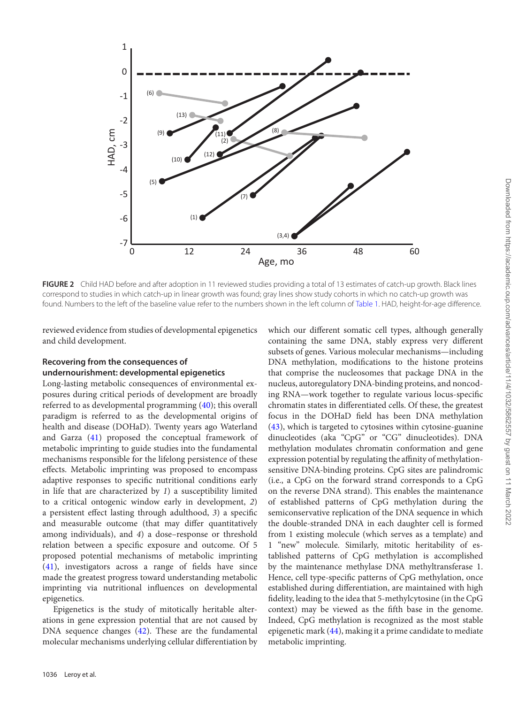<span id="page-5-0"></span>

**FIGURE 2** Child HAD before and after adoption in 11 reviewed studies providing a total of 13 estimates of catch-up growth. Black lines correspond to studies in which catch-up in linear growth was found; gray lines show study cohorts in which no catch-up growth was found. Numbers to the left of the baseline value refer to the numbers shown in the left column of [Table 1.](#page-4-0) HAD, height-for-age difference.

reviewed evidence from studies of developmental epigenetics and child development.

# **Recovering from the consequences of undernourishment: developmental epigenetics**

Long-lasting metabolic consequences of environmental exposures during critical periods of development are broadly referred to as developmental programming [\(40\)](#page-9-21); this overall paradigm is referred to as the developmental origins of health and disease (DOHaD). Twenty years ago Waterland and Garza [\(41\)](#page-9-22) proposed the conceptual framework of metabolic imprinting to guide studies into the fundamental mechanisms responsible for the lifelong persistence of these effects. Metabolic imprinting was proposed to encompass adaptive responses to specific nutritional conditions early in life that are characterized by *1*) a susceptibility limited to a critical ontogenic window early in development, *2*) a persistent effect lasting through adulthood, *3*) a specific and measurable outcome (that may differ quantitatively among individuals), and *4*) a dose–response or threshold relation between a specific exposure and outcome. Of 5 proposed potential mechanisms of metabolic imprinting [\(41\)](#page-9-22), investigators across a range of fields have since made the greatest progress toward understanding metabolic imprinting via nutritional influences on developmental epigenetics.

Epigenetics is the study of mitotically heritable alterations in gene expression potential that are not caused by DNA sequence changes [\(42\)](#page-9-23). These are the fundamental molecular mechanisms underlying cellular differentiation by

1036 Leroy et al.

which our different somatic cell types, although generally containing the same DNA, stably express very different subsets of genes. Various molecular mechanisms—including DNA methylation, modifications to the histone proteins that comprise the nucleosomes that package DNA in the nucleus, autoregulatory DNA-binding proteins, and noncoding RNA—work together to regulate various locus-specific chromatin states in differentiated cells. Of these, the greatest focus in the DOHaD field has been DNA methylation [\(43\)](#page-9-24), which is targeted to cytosines within cytosine-guanine dinucleotides (aka "CpG" or "CG" dinucleotides). DNA methylation modulates chromatin conformation and gene expression potential by regulating the affinity of methylationsensitive DNA-binding proteins. CpG sites are palindromic (i.e., a CpG on the forward strand corresponds to a CpG on the reverse DNA strand). This enables the maintenance of established patterns of CpG methylation during the semiconservative replication of the DNA sequence in which the double-stranded DNA in each daughter cell is formed from 1 existing molecule (which serves as a template) and 1 "new" molecule. Similarly, mitotic heritability of established patterns of CpG methylation is accomplished by the maintenance methylase DNA methyltransferase 1. Hence, cell type-specific patterns of CpG methylation, once established during differentiation, are maintained with high fidelity, leading to the idea that 5-methylcytosine (in the CpG context) may be viewed as the fifth base in the genome. Indeed, CpG methylation is recognized as the most stable epigenetic mark [\(44\)](#page-9-25), making it a prime candidate to mediate metabolic imprinting.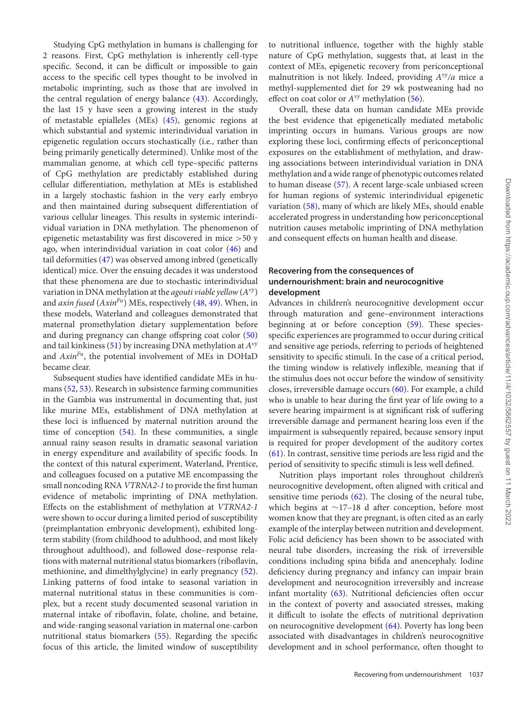Studying CpG methylation in humans is challenging for 2 reasons. First, CpG methylation is inherently cell-type specific. Second, it can be difficult or impossible to gain access to the specific cell types thought to be involved in metabolic imprinting, such as those that are involved in the central regulation of energy balance [\(43\)](#page-9-24). Accordingly, the last 15 y have seen a growing interest in the study of metastable epialleles (MEs) [\(45\)](#page-9-26), genomic regions at which substantial and systemic interindividual variation in epigenetic regulation occurs stochastically (i.e., rather than being primarily genetically determined). Unlike most of the mammalian genome, at which cell type–specific patterns of CpG methylation are predictably established during cellular differentiation, methylation at MEs is established in a largely stochastic fashion in the very early embryo and then maintained during subsequent differentiation of various cellular lineages. This results in systemic interindividual variation in DNA methylation. The phenomenon of epigenetic metastability was first discovered in mice >50 y ago, when interindividual variation in coat color [\(46\)](#page-9-27) and tail deformities [\(47\)](#page-9-28) was observed among inbred (genetically identical) mice. Over the ensuing decades it was understood that these phenomena are due to stochastic interindividual variation in DNA methylation at the *agouti viable yellow*(*Avy*) and *axin fused* (*AxinFu*) MEs, respectively [\(48,](#page-9-29) [49\)](#page-10-0). When, in these models, Waterland and colleagues demonstrated that maternal promethylation dietary supplementation before and during pregnancy can change offspring coat color [\(50\)](#page-10-1) and tail kinkiness [\(51\)](#page-10-2) by increasing DNA methylation at *Avy* and *AxinFu*, the potential involvement of MEs in DOHaD became clear.

Subsequent studies have identified candidate MEs in humans [\(52,](#page-10-3) [53\)](#page-10-4). Research in subsistence farming communities in the Gambia was instrumental in documenting that, just like murine MEs, establishment of DNA methylation at these loci is influenced by maternal nutrition around the time of conception [\(54\)](#page-10-5). In these communities, a single annual rainy season results in dramatic seasonal variation in energy expenditure and availability of specific foods. In the context of this natural experiment, Waterland, Prentice, and colleagues focused on a putative ME encompassing the small noncoding RNA *VTRNA2-1* to provide the first human evidence of metabolic imprinting of DNA methylation. Effects on the establishment of methylation at *VTRNA2-1* were shown to occur during a limited period of susceptibility (preimplantation embryonic development), exhibited longterm stability (from childhood to adulthood, and most likely throughout adulthood), and followed dose–response relations with maternal nutritional status biomarkers (riboflavin, methionine, and dimelthylglycine) in early pregnancy [\(52\)](#page-10-3). Linking patterns of food intake to seasonal variation in maternal nutritional status in these communities is complex, but a recent study documented seasonal variation in maternal intake of riboflavin, folate, choline, and betaine, and wide-ranging seasonal variation in maternal one-carbon nutritional status biomarkers [\(55\)](#page-10-6). Regarding the specific focus of this article, the limited window of susceptibility to nutritional influence, together with the highly stable nature of CpG methylation, suggests that, at least in the context of MEs, epigenetic recovery from periconceptional malnutrition is not likely. Indeed, providing *Avy/a* mice a methyl-supplemented diet for 29 wk postweaning had no effect on coat color or *Avy* methylation [\(56\)](#page-10-7).

Overall, these data on human candidate MEs provide the best evidence that epigenetically mediated metabolic imprinting occurs in humans. Various groups are now exploring these loci, confirming effects of periconceptional exposures on the establishment of methylation, and drawing associations between interindividual variation in DNA methylation and a wide range of phenotypic outcomes related to human disease [\(57\)](#page-10-8). A recent large-scale unbiased screen for human regions of systemic interindividual epigenetic variation [\(58\)](#page-10-9), many of which are likely MEs, should enable accelerated progress in understanding how periconceptional nutrition causes metabolic imprinting of DNA methylation and consequent effects on human health and disease.

# **Recovering from the consequences of undernourishment: brain and neurocognitive development**

Advances in children's neurocognitive development occur through maturation and gene–environment interactions beginning at or before conception [\(59\)](#page-10-10). These speciesspecific experiences are programmed to occur during critical and sensitive age periods, referring to periods of heightened sensitivity to specific stimuli. In the case of a critical period, the timing window is relatively inflexible, meaning that if the stimulus does not occur before the window of sensitivity closes, irreversible damage occurs [\(60\)](#page-10-11). For example, a child who is unable to hear during the first year of life owing to a severe hearing impairment is at significant risk of suffering irreversible damage and permanent hearing loss even if the impairment is subsequently repaired, because sensory input is required for proper development of the auditory cortex [\(61\)](#page-10-12). In contrast, sensitive time periods are less rigid and the period of sensitivity to specific stimuli is less well defined.

Nutrition plays important roles throughout children's neurocognitive development, often aligned with critical and sensitive time periods [\(62\)](#page-10-13). The closing of the neural tube, which begins at ∼17–18 d after conception, before most women know that they are pregnant, is often cited as an early example of the interplay between nutrition and development. Folic acid deficiency has been shown to be associated with neural tube disorders, increasing the risk of irreversible conditions including spina bifida and anencephaly. Iodine deficiency during pregnancy and infancy can impair brain development and neurocognition irreversibly and increase infant mortality [\(63\)](#page-10-14). Nutritional deficiencies often occur in the context of poverty and associated stresses, making it difficult to isolate the effects of nutritional deprivation on neurocognitive development [\(64\)](#page-10-15). Poverty has long been associated with disadvantages in children's neurocognitive development and in school performance, often thought to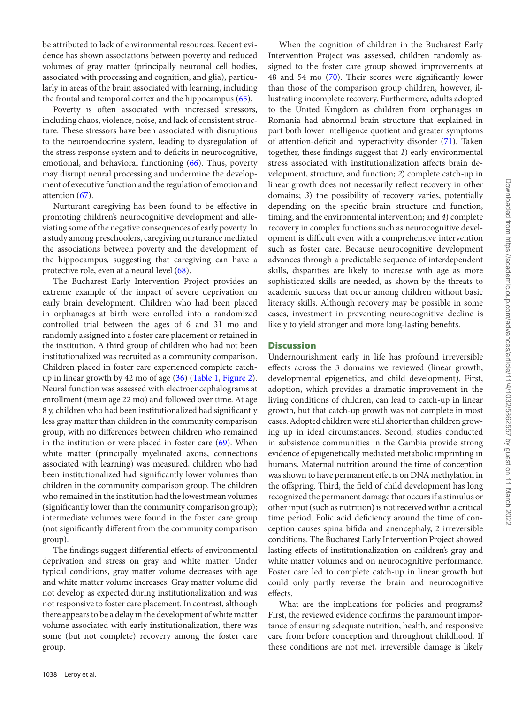be attributed to lack of environmental resources. Recent evidence has shown associations between poverty and reduced volumes of gray matter (principally neuronal cell bodies, associated with processing and cognition, and glia), particularly in areas of the brain associated with learning, including the frontal and temporal cortex and the hippocampus [\(65\)](#page-10-16).

Poverty is often associated with increased stressors, including chaos, violence, noise, and lack of consistent structure. These stressors have been associated with disruptions to the neuroendocrine system, leading to dysregulation of the stress response system and to deficits in neurocognitive, emotional, and behavioral functioning [\(66\)](#page-10-17). Thus, poverty may disrupt neural processing and undermine the development of executive function and the regulation of emotion and attention [\(67\)](#page-10-18).

Nurturant caregiving has been found to be effective in promoting children's neurocognitive development and alleviating some of the negative consequences of early poverty. In a study among preschoolers, caregiving nurturance mediated the associations between poverty and the development of the hippocampus, suggesting that caregiving can have a protective role, even at a neural level [\(68\)](#page-10-19).

The Bucharest Early Intervention Project provides an extreme example of the impact of severe deprivation on early brain development. Children who had been placed in orphanages at birth were enrolled into a randomized controlled trial between the ages of 6 and 31 mo and randomly assigned into a foster care placement or retained in the institution. A third group of children who had not been institutionalized was recruited as a community comparison. Children placed in foster care experienced complete catchup in linear growth by 42 mo of age [\(36\)](#page-9-16) [\(Table 1,](#page-4-0) [Figure 2\)](#page-5-0). Neural function was assessed with electroencephalograms at enrollment (mean age 22 mo) and followed over time. At age 8 y, children who had been institutionalized had significantly less gray matter than children in the community comparison group, with no differences between children who remained in the institution or were placed in foster care  $(69)$ . When white matter (principally myelinated axons, connections associated with learning) was measured, children who had been institutionalized had significantly lower volumes than children in the community comparison group. The children who remained in the institution had the lowest mean volumes (significantly lower than the community comparison group); intermediate volumes were found in the foster care group (not significantly different from the community comparison group).

The findings suggest differential effects of environmental deprivation and stress on gray and white matter. Under typical conditions, gray matter volume decreases with age and white matter volume increases. Gray matter volume did not develop as expected during institutionalization and was not responsive to foster care placement. In contrast, although there appears to be a delay in the development of white matter volume associated with early institutionalization, there was some (but not complete) recovery among the foster care group.

When the cognition of children in the Bucharest Early Intervention Project was assessed, children randomly assigned to the foster care group showed improvements at 48 and 54 mo [\(70\)](#page-10-21). Their scores were significantly lower than those of the comparison group children, however, illustrating incomplete recovery. Furthermore, adults adopted to the United Kingdom as children from orphanages in Romania had abnormal brain structure that explained in part both lower intelligence quotient and greater symptoms of attention-deficit and hyperactivity disorder [\(71\)](#page-10-22). Taken together, these findings suggest that *1*) early environmental stress associated with institutionalization affects brain development, structure, and function; *2*) complete catch-up in linear growth does not necessarily reflect recovery in other domains; *3*) the possibility of recovery varies, potentially depending on the specific brain structure and function, timing, and the environmental intervention; and *4*) complete recovery in complex functions such as neurocognitive development is difficult even with a comprehensive intervention such as foster care. Because neurocognitive development advances through a predictable sequence of interdependent skills, disparities are likely to increase with age as more sophisticated skills are needed, as shown by the threats to academic success that occur among children without basic literacy skills. Although recovery may be possible in some cases, investment in preventing neurocognitive decline is likely to yield stronger and more long-lasting benefits.

# **Discussion**

Undernourishment early in life has profound irreversible effects across the 3 domains we reviewed (linear growth, developmental epigenetics, and child development). First, adoption, which provides a dramatic improvement in the living conditions of children, can lead to catch-up in linear growth, but that catch-up growth was not complete in most cases. Adopted children were still shorter than children growing up in ideal circumstances. Second, studies conducted in subsistence communities in the Gambia provide strong evidence of epigenetically mediated metabolic imprinting in humans. Maternal nutrition around the time of conception was shown to have permanent effects on DNA methylation in the offspring. Third, the field of child development has long recognized the permanent damage that occurs if a stimulus or other input (such as nutrition) is not received within a critical time period. Folic acid deficiency around the time of conception causes spina bifida and anencephaly, 2 irreversible conditions. The Bucharest Early Intervention Project showed lasting effects of institutionalization on children's gray and white matter volumes and on neurocognitive performance. Foster care led to complete catch-up in linear growth but could only partly reverse the brain and neurocognitive effects.

What are the implications for policies and programs? First, the reviewed evidence confirms the paramount importance of ensuring adequate nutrition, health, and responsive care from before conception and throughout childhood. If these conditions are not met, irreversible damage is likely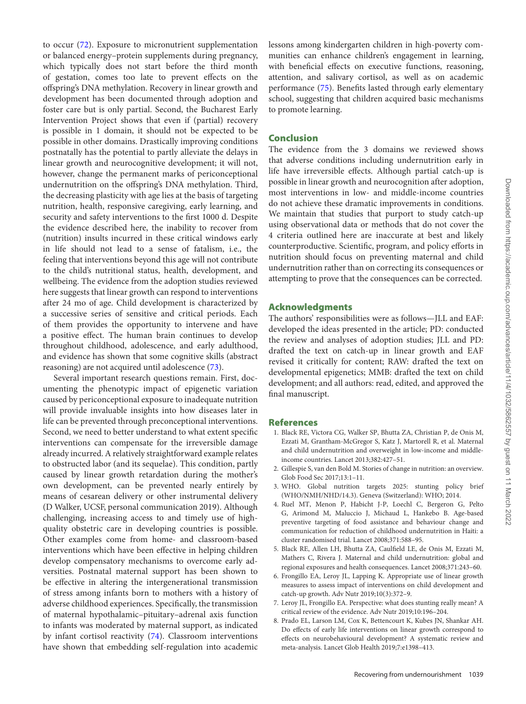to occur [\(72\)](#page-10-23). Exposure to micronutrient supplementation or balanced energy–protein supplements during pregnancy, which typically does not start before the third month of gestation, comes too late to prevent effects on the offspring's DNA methylation. Recovery in linear growth and development has been documented through adoption and foster care but is only partial. Second, the Bucharest Early Intervention Project shows that even if (partial) recovery is possible in 1 domain, it should not be expected to be possible in other domains. Drastically improving conditions postnatally has the potential to partly alleviate the delays in linear growth and neurocognitive development; it will not, however, change the permanent marks of periconceptional undernutrition on the offspring's DNA methylation. Third, the decreasing plasticity with age lies at the basis of targeting nutrition, health, responsive caregiving, early learning, and security and safety interventions to the first 1000 d. Despite the evidence described here, the inability to recover from (nutrition) insults incurred in these critical windows early in life should not lead to a sense of fatalism, i.e., the feeling that interventions beyond this age will not contribute to the child's nutritional status, health, development, and wellbeing. The evidence from the adoption studies reviewed here suggests that linear growth can respond to interventions after 24 mo of age. Child development is characterized by a successive series of sensitive and critical periods. Each of them provides the opportunity to intervene and have a positive effect. The human brain continues to develop throughout childhood, adolescence, and early adulthood, and evidence has shown that some cognitive skills (abstract reasoning) are not acquired until adolescence [\(73\)](#page-10-24). Several important research questions remain. First, doc-

umenting the phenotypic impact of epigenetic variation caused by periconceptional exposure to inadequate nutrition will provide invaluable insights into how diseases later in life can be prevented through preconceptional interventions. Second, we need to better understand to what extent specific interventions can compensate for the irreversible damage already incurred. A relatively straightforward example relates to obstructed labor (and its sequelae). This condition, partly caused by linear growth retardation during the mother's own development, can be prevented nearly entirely by means of cesarean delivery or other instrumental delivery (D Walker, UCSF, personal communication 2019). Although challenging, increasing access to and timely use of highquality obstetric care in developing countries is possible. Other examples come from home- and classroom-based interventions which have been effective in helping children develop compensatory mechanisms to overcome early adversities. Postnatal maternal support has been shown to be effective in altering the intergenerational transmission of stress among infants born to mothers with a history of adverse childhood experiences. Specifically, the transmission of maternal hypothalamic–pituitary–adrenal axis function to infants was moderated by maternal support, as indicated by infant cortisol reactivity [\(74\)](#page-10-25). Classroom interventions have shown that embedding self-regulation into academic lessons among kindergarten children in high-poverty communities can enhance children's engagement in learning, with beneficial effects on executive functions, reasoning, attention, and salivary cortisol, as well as on academic performance [\(75\)](#page-10-26). Benefits lasted through early elementary school, suggesting that children acquired basic mechanisms to promote learning.

# **Conclusion**

The evidence from the 3 domains we reviewed shows that adverse conditions including undernutrition early in life have irreversible effects. Although partial catch-up is possible in linear growth and neurocognition after adoption, most interventions in low- and middle-income countries do not achieve these dramatic improvements in conditions. We maintain that studies that purport to study catch-up using observational data or methods that do not cover the 4 criteria outlined here are inaccurate at best and likely counterproductive. Scientific, program, and policy efforts in nutrition should focus on preventing maternal and child undernutrition rather than on correcting its consequences or attempting to prove that the consequences can be corrected.

# **Acknowledgments**

The authors' responsibilities were as follows—JLL and EAF: developed the ideas presented in the article; PD: conducted the review and analyses of adoption studies; JLL and PD: drafted the text on catch-up in linear growth and EAF revised it critically for content; RAW: drafted the text on developmental epigenetics; MMB: drafted the text on child development; and all authors: read, edited, and approved the final manuscript.

## **References**

- <span id="page-8-0"></span>1. Black RE, Victora CG, Walker SP, Bhutta ZA, Christian P, de Onis M, Ezzati M, Grantham-McGregor S, Katz J, Martorell R, et al. Maternal and child undernutrition and overweight in low-income and middleincome countries. Lancet 2013;382:427–51.
- <span id="page-8-1"></span>2. Gillespie S, van den Bold M. Stories of change in nutrition: an overview. Glob Food Sec 2017;13:1–11.
- <span id="page-8-2"></span>3. WHO. Global nutrition targets 2025: stunting policy brief (WHO/NMH/NHD/14.3). Geneva (Switzerland): WHO; 2014.
- <span id="page-8-3"></span>4. Ruel MT, Menon P, Habicht J-P, Loechl C, Bergeron G, Pelto G, Arimond M, Maluccio J, Michaud L, Hankebo B. Age-based preventive targeting of food assistance and behaviour change and communication for reduction of childhood undernutrition in Haiti: a cluster randomised trial. Lancet 2008;371:588–95.
- <span id="page-8-4"></span>5. Black RE, Allen LH, Bhutta ZA, Caulfield LE, de Onis M, Ezzati M, Mathers C, Rivera J. Maternal and child undernutrition: global and regional exposures and health consequences. Lancet 2008;371:243–60.
- <span id="page-8-5"></span>6. Frongillo EA, Leroy JL, Lapping K. Appropriate use of linear growth measures to assess impact of interventions on child development and catch-up growth. Adv Nutr 2019;10(3):372–9.
- <span id="page-8-6"></span>7. Leroy JL, Frongillo EA. Perspective: what does stunting really mean? A critical review of the evidence. Adv Nutr 2019;10:196–204.
- <span id="page-8-7"></span>8. Prado EL, Larson LM, Cox K, Bettencourt K, Kubes JN, Shankar AH. Do effects of early life interventions on linear growth correspond to effects on neurobehavioural development? A systematic review and meta-analysis. Lancet Glob Health 2019;7:e1398–413.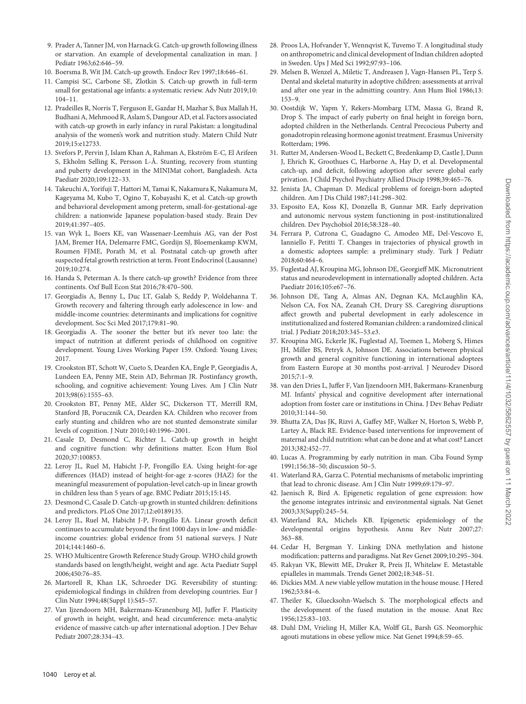- <span id="page-9-0"></span>9. Prader A, Tanner JM, von Harnack G. Catch-up growth following illness or starvation. An example of developmental canalization in man. J Pediatr 1963;62:646–59.
- <span id="page-9-1"></span>10. Boersma B, Wit JM. Catch-up growth. Endocr Rev 1997;18:646–61.
- <span id="page-9-2"></span>11. Campisi SC, Carbone SE, Zlotkin S. Catch-up growth in full-term small for gestational age infants: a systematic review. Adv Nutr 2019;10: 104–11.
- 12. Pradeilles R, Norris T, Ferguson E, Gazdar H, Mazhar S, Bux Mallah H, Budhani A, Mehmood R, Aslam S, Dangour AD, et al. Factors associated with catch-up growth in early infancy in rural Pakistan: a longitudinal analysis of the women's work and nutrition study. Matern Child Nutr 2019;15:e12733.
- 13. Svefors P, Pervin J, Islam Khan A, Rahman A, Ekström E-C, El Arifeen S, Ekholm Selling K, Persson L-Å. Stunting, recovery from stunting and puberty development in the MINIMat cohort, Bangladesh. Acta Paediatr 2020;109:122–33.
- 14. Takeuchi A, Yorifuji T, Hattori M, Tamai K, Nakamura K, Nakamura M, Kageyama M, Kubo T, Ogino T, Kobayashi K, et al. Catch-up growth and behavioral development among preterm, small-for-gestational-age children: a nationwide Japanese population-based study. Brain Dev 2019;41:397–405.
- 15. van Wyk L, Boers KE, van Wassenaer-Leemhuis AG, van der Post JAM, Bremer HA, Delemarre FMC, Gordijn SJ, Bloemenkamp KWM, Roumen FJME, Porath M, et al. Postnatal catch-up growth after suspected fetal growth restriction at term. Front Endocrinol (Lausanne) 2019;10:274.
- 16. Handa S, Peterman A. Is there catch-up growth? Evidence from three continents. Oxf Bull Econ Stat 2016;78:470–500.
- 17. Georgiadis A, Benny L, Duc LT, Galab S, Reddy P, Woldehanna T. Growth recovery and faltering through early adolescence in low- and middle-income countries: determinants and implications for cognitive development. Soc Sci Med 2017;179:81–90.
- 18. Georgiadis A. The sooner the better but it's never too late: the impact of nutrition at different periods of childhood on cognitive development. Young Lives Working Paper 159. Oxford: Young Lives; 2017.
- 19. Crookston BT, Schott W, Cueto S, Dearden KA, Engle P, Georgiadis A, Lundeen EA, Penny ME, Stein AD, Behrman JR. Postinfancy growth, schooling, and cognitive achievement: Young Lives. Am J Clin Nutr 2013;98(6):1555–63.
- 20. Crookston BT, Penny ME, Alder SC, Dickerson TT, Merrill RM, Stanford JB, Porucznik CA, Dearden KA. Children who recover from early stunting and children who are not stunted demonstrate similar levels of cognition. J Nutr 2010;140:1996–2001.
- 21. Casale D, Desmond C, Richter L. Catch-up growth in height and cognitive function: why definitions matter. Econ Hum Biol 2020;37:100853.
- <span id="page-9-3"></span>22. Leroy JL, Ruel M, Habicht J-P, Frongillo EA. Using height-for-age differences (HAD) instead of height-for-age z-scores (HAZ) for the meaningful measurement of population-level catch-up in linear growth in children less than 5 years of age. BMC Pediatr 2015;15:145.
- <span id="page-9-4"></span>23. Desmond C, Casale D. Catch-up growth in stunted children: definitions and predictors. PLoS One 2017;12:e0189135.
- <span id="page-9-5"></span>24. Leroy JL, Ruel M, Habicht J-P, Frongillo EA. Linear growth deficit continues to accumulate beyond the first 1000 days in low- and middleincome countries: global evidence from 51 national surveys. J Nutr 2014;144:1460–6.
- <span id="page-9-6"></span>25. WHO Multicentre Growth Reference Study Group. WHO child growth standards based on length/height, weight and age. Acta Paediatr Suppl 2006;450:76–85.
- <span id="page-9-7"></span>26. Martorell R, Khan LK, Schroeder DG. Reversibility of stunting: epidemiological findings in children from developing countries. Eur J Clin Nutr 1994;48(Suppl 1):S45–57.
- <span id="page-9-19"></span>27. Van Ijzendoorn MH, Bakermans-Kranenburg MJ, Juffer F. Plasticity of growth in height, weight, and head circumference: meta-analytic evidence of massive catch-up after international adoption. J Dev Behav Pediatr 2007;28:334–43.
- <span id="page-9-8"></span>28. Proos LA, Hofvander Y, Wennqvist K, Tuvemo T. A longitudinal study on anthropometric and clinical development of Indian children adopted in Sweden. Ups J Med Sci 1992;97:93–106.
- <span id="page-9-9"></span>29. Melsen B, Wenzel A, Miletic T, Andreasen J, Vagn-Hansen PL, Terp S. Dental and skeletal maturity in adoptive children: assessments at arrival and after one year in the admitting country. Ann Hum Biol 1986;13: 153–9.
- <span id="page-9-10"></span>30. Oostdijk W, Yapm Y, Rekers-Mombarg LTM, Massa G, Brand R, Drop S. The impact of early puberty on final height in foreign born, adopted children in the Netherlands. Central Precocious Puberty and gonadotropin releasing hormone agonist treatment. Erasmus University Rotterdam; 1996.
- <span id="page-9-11"></span>31. Rutter M, Andersen-Wood L, Beckett C, Bredenkamp D, Castle J, Dunn J, Ehrich K, Groothues C, Harborne A, Hay D, et al. Developmental catch-up, and deficit, following adoption after severe global early privation. J Child Psychol Psychiatry Allied Discip 1998;39:465–76.
- <span id="page-9-12"></span>32. Jenista JA, Chapman D. Medical problems of foreign-born adopted children. Am J Dis Child 1987;141:298–302.
- <span id="page-9-13"></span>33. Esposito EA, Koss KJ, Donzella B, Gunnar MR. Early deprivation and autonomic nervous system functioning in post-institutionalized children. Dev Psychobiol 2016;58:328–40.
- <span id="page-9-14"></span>34. Ferrara P, Cutrona C, Guadagno C, Amodeo ME, Del-Vescovo E, Ianniello F, Petitti T. Changes in trajectories of physical growth in a domestic adoptees sample: a preliminary study. Turk J Pediatr 2018;60:464–6.
- <span id="page-9-15"></span>35. Fuglestad AJ, Kroupina MG, Johnson DE, Georgieff MK. Micronutrient status and neurodevelopment in internationally adopted children. Acta Paediatr 2016;105:e67–76.
- <span id="page-9-16"></span>36. Johnson DE, Tang A, Almas AN, Degnan KA, McLaughlin KA, Nelson CA, Fox NA, Zeanah CH, Drury SS. Caregiving disruptions affect growth and pubertal development in early adolescence in institutionalized and fostered Romanian children: a randomized clinical trial. J Pediatr 2018;203:345–53.e3.
- <span id="page-9-17"></span>37. Kroupina MG, Eckerle JK, Fuglestad AJ, Toemen L, Moberg S, Himes JH, Miller BS, Petryk A, Johnson DE. Associations between physical growth and general cognitive functioning in international adoptees from Eastern Europe at 30 months post-arrival. J Neurodev Disord 2015;7:1–9.
- <span id="page-9-18"></span>38. van den Dries L, Juffer F, Van Ijzendoorn MH, Bakermans-Kranenburg MJ. Infants' physical and cognitive development after international adoption from foster care or institutions in China. J Dev Behav Pediatr 2010;31:144–50.
- <span id="page-9-20"></span>39. Bhutta ZA, Das JK, Rizvi A, Gaffey MF, Walker N, Horton S, Webb P, Lartey A, Black RE. Evidence-based interventions for improvement of maternal and child nutrition: what can be done and at what cost? Lancet 2013;382:452–77.
- <span id="page-9-21"></span>40. Lucas A. Programming by early nutrition in man. Ciba Found Symp 1991;156:38–50; discussion 50–5.
- <span id="page-9-22"></span>41. Waterland RA, Garza C. Potential mechanisms of metabolic imprinting that lead to chronic disease. Am J Clin Nutr 1999;69:179–97.
- <span id="page-9-23"></span>42. Jaenisch R, Bird A. Epigenetic regulation of gene expression: how the genome integrates intrinsic and environmental signals. Nat Genet 2003;33(Suppl):245–54.
- <span id="page-9-24"></span>43. Waterland RA, Michels KB. Epigenetic epidemiology of the developmental origins hypothesis. Annu Rev Nutr 2007;27: 363–88.
- <span id="page-9-25"></span>44. Cedar H, Bergman Y. Linking DNA methylation and histone modification: patterns and paradigms. Nat Rev Genet 2009;10:295–304.
- <span id="page-9-26"></span>45. Rakyan VK, Blewitt ME, Druker R, Preis JI, Whitelaw E. Metastable epialleles in mammals. Trends Genet 2002;18:348–51.
- <span id="page-9-27"></span>46. Dickies MM. A new viable yellow mutation in the house mouse. J Hered 1962;53:84–6.
- <span id="page-9-28"></span>47. Theiler K, Gluecksohn-Waelsch S. The morphological effects and the development of the fused mutation in the mouse. Anat Rec 1956;125:83–103.
- <span id="page-9-29"></span>48. Duhl DM, Vrieling H, Miller KA, Wolff GL, Barsh GS. Neomorphic agouti mutations in obese yellow mice. Nat Genet 1994;8:59–65.